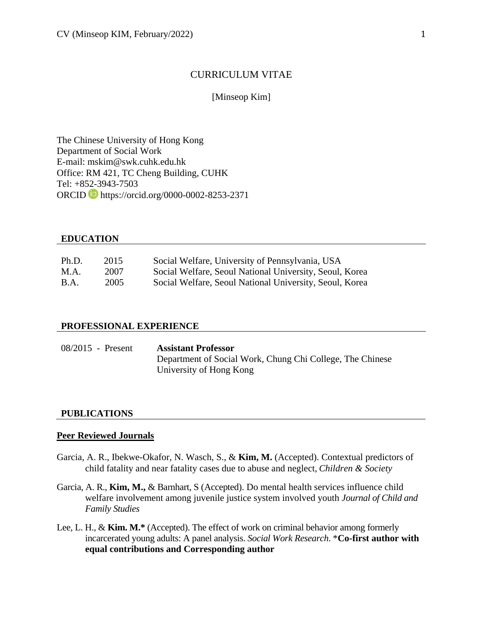## CURRICULUM VITAE

## [Minseop Kim]

The Chinese University of Hong Kong Department of Social Work E-mail: mskim@swk.cuhk.edu.hk Office: RM 421, TC Cheng Building, CUHK Tel: +852-3943-7503 ORCID https://orcid.org/0000-0002-8253-2371

# **EDUCATION**

| Ph.D.       | 2015 | Social Welfare, University of Pennsylvania, USA         |
|-------------|------|---------------------------------------------------------|
| M.A.        | 2007 | Social Welfare, Seoul National University, Seoul, Korea |
| <b>B.A.</b> | 2005 | Social Welfare, Seoul National University, Seoul, Korea |

#### **PROFESSIONAL EXPERIENCE**

| $08/2015$ - Present | <b>Assistant Professor</b>                                |
|---------------------|-----------------------------------------------------------|
|                     | Department of Social Work, Chung Chi College, The Chinese |
|                     | University of Hong Kong                                   |

## **PUBLICATIONS**

#### **Peer Reviewed Journals**

- Garcia, A. R., Ibekwe-Okafor, N. Wasch, S., & **Kim, M.** (Accepted). Contextual predictors of child fatality and near fatality cases due to abuse and neglect, *Children & Society*
- Garcia, A. R., **Kim, M.,** & Barnhart, S (Accepted). Do mental health services influence child welfare involvement among juvenile justice system involved youth *Journal of Child and Family Studies*
- Lee, L. H., & **Kim. M.\*** (Accepted). The effect of work on criminal behavior among formerly incarcerated young adults: A panel analysis. *Social Work Research*. \***Co-first author with equal contributions and Corresponding author**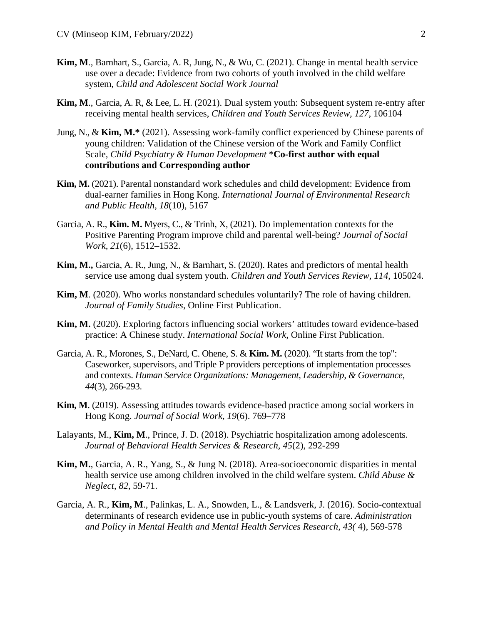- **Kim, M**., Barnhart, S., Garcia, A. R, Jung, N., & Wu, C. (2021). Change in mental health service use over a decade: Evidence from two cohorts of youth involved in the child welfare system, *Child and Adolescent Social Work Journal*
- **Kim, M**., Garcia, A. R, & Lee, L. H. (2021). Dual system youth: Subsequent system re-entry after receiving mental health services, *Children and Youth Services Review, 127*, 106104
- Jung, N., & **Kim, M.\*** (2021). Assessing work-family conflict experienced by Chinese parents of young children: Validation of the Chinese version of the Work and Family Conflict Scale, *Child Psychiatry & Human Development* \***Co-first author with equal contributions and Corresponding author**
- **Kim, M.** (2021). Parental nonstandard work schedules and child development: Evidence from dual-earner families in Hong Kong*. International Journal of Environmental Research and Public Health, 18*(10), 5167
- Garcia, A. R., **Kim. M.** Myers, C., & Trinh, X, (2021). Do implementation contexts for the Positive Parenting Program improve child and parental well-being? *Journal of Social Work, 21*(6), 1512–1532.
- **Kim, M.,** Garcia, A. R., Jung, N., & Barnhart, S. (2020). Rates and predictors of mental health service use among dual system youth. *Children and Youth Services Review, 114*, 105024.
- **Kim, M**. (2020). Who works nonstandard schedules voluntarily? The role of having children. *Journal of Family Studies*, Online First Publication.
- **Kim, M.** (2020). Exploring factors influencing social workers' attitudes toward evidence-based practice: A Chinese study. *International Social Work,* Online First Publication.
- Garcia, A. R., Morones, S., DeNard, C. Ohene, S. & **Kim. M.** (2020). "It starts from the top": Caseworker, supervisors, and Triple P providers perceptions of implementation processes and contexts. *Human Service Organizations: Management, Leadership, & Governance, 44*(3), 266-293.
- **Kim, M**. (2019). Assessing attitudes towards evidence-based practice among social workers in Hong Kong. *Journal of Social Work*, *19*(6). 769–778
- Lalayants, M., **Kim, M**., Prince, J. D. (2018). Psychiatric hospitalization among adolescents. *Journal of Behavioral Health Services & Research, 45*(2), 292-299
- **Kim, M.**, Garcia, A. R., Yang, S., & Jung N. (2018). Area-socioeconomic disparities in mental health service use among children involved in the child welfare system. *Child Abuse & Neglect*, *82*, 59-71.
- Garcia, A. R., **Kim, M**., Palinkas, L. A., Snowden, L., & Landsverk, J. (2016). Socio-contextual determinants of research evidence use in public-youth systems of care. *Administration and Policy in Mental Health and Mental Health Services Research, 43(* 4), 569-578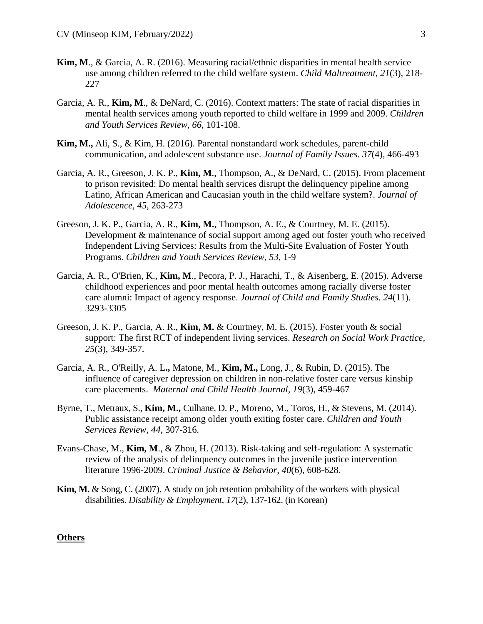- **Kim, M**., & Garcia, A. R. (2016). Measuring racial/ethnic disparities in mental health service use among children referred to the child welfare system. *Child Maltreatment, 21*(3), 218- 227
- Garcia, A. R., **Kim, M**., & DeNard, C. (2016). Context matters: The state of racial disparities in mental health services among youth reported to child welfare in 1999 and 2009. *Children and Youth Services Review, 66*, 101-108.
- **Kim, M.,** Ali, S., & Kim, H. (2016). Parental nonstandard work schedules, parent-child communication, and adolescent substance use. *Journal of Family Issues*. *37*(4), 466-493
- Garcia, A. R., Greeson, J. K. P., **Kim, M**., Thompson, A., & DeNard, C. (2015). From placement to prison revisited: Do mental health services disrupt the delinquency pipeline among Latino, African American and Caucasian youth in the child welfare system?. *Journal of Adolescence, 45,* 263-273
- Greeson, J. K. P., Garcia, A. R., **Kim, M.**, Thompson, A. E., & Courtney, M. E. (2015). Development & maintenance of social support among aged out foster youth who received Independent Living Services: Results from the Multi-Site Evaluation of Foster Youth Programs. *Children and Youth Services Review, 53*, 1-9
- Garcia, A. R., O'Brien, K., **Kim, M**., Pecora, P. J., Harachi, T., & Aisenberg, E. (2015). Adverse childhood experiences and poor mental health outcomes among racially diverse foster care alumni: Impact of agency response. *Journal of Child and Family Studies. 24*(11). 3293-3305
- Greeson, J. K. P., Garcia, A. R., **Kim, M.** & Courtney, M. E. (2015). Foster youth & social support: The first RCT of independent living services. *Research on Social Work Practice, 25*(3), 349-357.
- Garcia, A. R., O'Reilly, A. L**.,** Matone, M., **Kim, M.,** Long, J., & Rubin, D. (2015). The influence of caregiver depression on children in non-relative foster care versus kinship care placements. *Maternal and Child Health Journal, 19*(3), 459-467
- Byrne, T., Metraux, S., **Kim, M.,** Culhane, D. P., Moreno, M., Toros, H., & Stevens, M. (2014). Public assistance receipt among older youth exiting foster care. *Children and Youth Services Review, 44,* 307-316*.*
- Evans-Chase, M., **Kim, M**., & Zhou, H. (2013). Risk-taking and self-regulation: A systematic review of the analysis of delinquency outcomes in the juvenile justice intervention literature 1996-2009. *Criminal Justice & Behavior, 40*(6), 608-628.
- **Kim, M.** & Song, C. (2007). A study on job retention probability of the workers with physical disabilities. *Disability & Employment*, *17*(2), 137-162. (in Korean)

## **Others**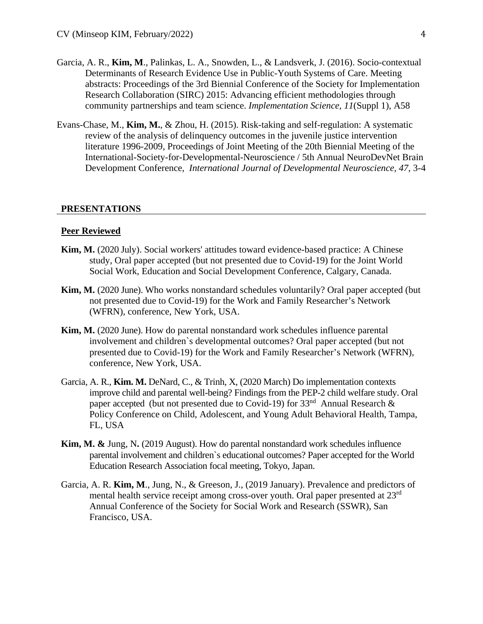- Garcia, A. R., **Kim, M**., Palinkas, L. A., Snowden, L., & Landsverk, J. (2016). Socio-contextual Determinants of Research Evidence Use in Public-Youth Systems of Care. Meeting abstracts: Proceedings of the 3rd Biennial Conference of the Society for Implementation Research Collaboration (SIRC) 2015: Advancing efficient methodologies through community partnerships and team science. *Implementation Science, 11*(Suppl 1), A58
- Evans-Chase, M., **Kim, M.**, & Zhou, H. (2015). Risk-taking and self-regulation: A systematic review of the analysis of delinquency outcomes in the juvenile justice intervention literature 1996-2009, Proceedings of Joint Meeting of the 20th Biennial Meeting of the International-Society-for-Developmental-Neuroscience / 5th Annual NeuroDevNet Brain Development Conference, *International Journal of Developmental Neuroscience, 47*, 3-4

#### **PRESENTATIONS**

#### **Peer Reviewed**

- **Kim, M.** (2020 July). Social workers' attitudes toward evidence-based practice: A Chinese study, Oral paper accepted (but not presented due to Covid-19) for the Joint World Social Work, Education and Social Development Conference, Calgary, Canada.
- **Kim, M.** (2020 June). Who works nonstandard schedules voluntarily? Oral paper accepted (but not presented due to Covid-19) for the Work and Family Researcher's Network (WFRN), conference, New York, USA.
- **Kim, M.** (2020 June). How do parental nonstandard work schedules influence parental involvement and children`s developmental outcomes? Oral paper accepted (but not presented due to Covid-19) for the Work and Family Researcher's Network (WFRN), conference, New York, USA.
- Garcia, A. R., **Kim. M.** DeNard, C., & Trinh, X, (2020 March) Do implementation contexts improve child and parental well-being? Findings from the PEP-2 child welfare study. Oral paper accepted (but not presented due to Covid-19) for  $33<sup>nd</sup>$  Annual Research & Policy Conference on Child, Adolescent, and Young Adult Behavioral Health, Tampa, FL, USA
- **Kim, M. &** Jung, N**.** (2019 August). How do parental nonstandard work schedules influence parental involvement and children`s educational outcomes? Paper accepted for the World Education Research Association focal meeting, Tokyo, Japan.
- Garcia, A. R. **Kim, M**., Jung, N., & Greeson, J., (2019 January). Prevalence and predictors of mental health service receipt among cross-over youth. Oral paper presented at 23rd Annual Conference of the Society for Social Work and Research (SSWR), San Francisco, USA.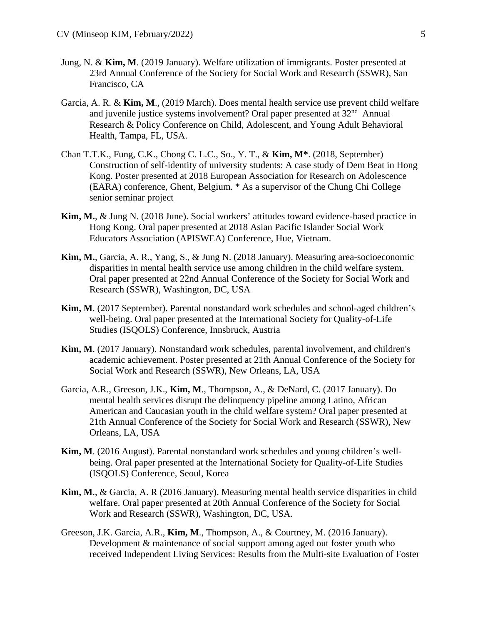- Jung, N. & **Kim, M**. (2019 January). Welfare utilization of immigrants. Poster presented at 23rd Annual Conference of the Society for Social Work and Research (SSWR), San Francisco, CA
- Garcia, A. R. & **Kim, M**., (2019 March). Does mental health service use prevent child welfare and juvenile justice systems involvement? Oral paper presented at 32<sup>nd</sup> Annual Research & Policy Conference on Child, Adolescent, and Young Adult Behavioral Health, Tampa, FL, USA.
- Chan T.T.K., Fung, C.K., Chong C. L.C., So., Y. T., & **Kim, M\***. (2018, September) Construction of self-identity of university students: A case study of Dem Beat in Hong Kong. Poster presented at 2018 European Association for Research on Adolescence (EARA) conference, Ghent, Belgium. \* As a supervisor of the Chung Chi College senior seminar project
- **Kim, M.**, & Jung N. (2018 June). Social workers' attitudes toward evidence-based practice in Hong Kong. Oral paper presented at 2018 Asian Pacific Islander Social Work Educators Association (APISWEA) Conference, Hue, Vietnam.
- **Kim, M.**, Garcia, A. R., Yang, S., & Jung N. (2018 January). Measuring area-socioeconomic disparities in mental health service use among children in the child welfare system. Oral paper presented at 22nd Annual Conference of the Society for Social Work and Research (SSWR), Washington, DC, USA
- **Kim, M**. (2017 September). Parental nonstandard work schedules and school-aged children's well-being. Oral paper presented at the International Society for Quality-of-Life Studies (ISQOLS) Conference, Innsbruck, Austria
- **Kim, M**. (2017 January). Nonstandard work schedules, parental involvement, and children's academic achievement. Poster presented at 21th Annual Conference of the Society for Social Work and Research (SSWR), New Orleans, LA, USA
- Garcia, A.R., Greeson, J.K., **Kim, M**., Thompson, A., & DeNard, C. (2017 January). Do mental health services disrupt the delinquency pipeline among Latino, African American and Caucasian youth in the child welfare system? Oral paper presented at 21th Annual Conference of the Society for Social Work and Research (SSWR), New Orleans, LA, USA
- **Kim, M**. (2016 August). Parental nonstandard work schedules and young children's wellbeing. Oral paper presented at the International Society for Quality-of-Life Studies (ISQOLS) Conference, Seoul, Korea
- **Kim, M**., & Garcia, A. R (2016 January). Measuring mental health service disparities in child welfare. Oral paper presented at 20th Annual Conference of the Society for Social Work and Research (SSWR), Washington, DC, USA.
- Greeson, J.K. Garcia, A.R., **Kim, M**., Thompson, A., & Courtney, M. (2016 January). Development & maintenance of social support among aged out foster youth who received Independent Living Services: Results from the Multi-site Evaluation of Foster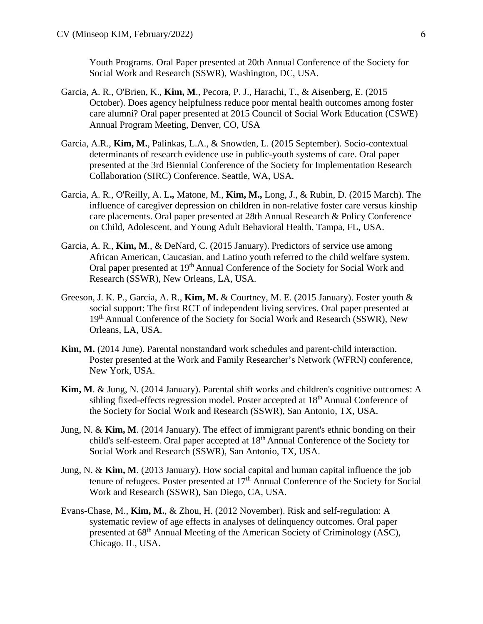Youth Programs. Oral Paper presented at 20th Annual Conference of the Society for Social Work and Research (SSWR), Washington, DC, USA.

- Garcia, A. R., O'Brien, K., **Kim, M**., Pecora, P. J., Harachi, T., & Aisenberg, E. (2015 October). Does agency helpfulness reduce poor mental health outcomes among foster care alumni? Oral paper presented at 2015 Council of Social Work Education (CSWE) Annual Program Meeting, Denver, CO, USA
- Garcia, A.R., **Kim, M.**, Palinkas, L.A., & Snowden, L. (2015 September). Socio-contextual determinants of research evidence use in public-youth systems of care. Oral paper presented at the 3rd Biennial Conference of the Society for Implementation Research Collaboration (SIRC) Conference. Seattle, WA, USA.
- Garcia, A. R., O'Reilly, A. L**.,** Matone, M., **Kim, M.,** Long, J., & Rubin, D. (2015 March). The influence of caregiver depression on children in non-relative foster care versus kinship care placements. Oral paper presented at 28th Annual Research & Policy Conference on Child, Adolescent, and Young Adult Behavioral Health, Tampa, FL, USA.
- Garcia, A. R., **Kim, M**., & DeNard, C. (2015 January). Predictors of service use among African American, Caucasian, and Latino youth referred to the child welfare system. Oral paper presented at 19<sup>th</sup> Annual Conference of the Society for Social Work and Research (SSWR), New Orleans, LA, USA.
- Greeson, J. K. P., Garcia, A. R., **Kim, M.** & Courtney, M. E. (2015 January). Foster youth & social support: The first RCT of independent living services. Oral paper presented at 19<sup>th</sup> Annual Conference of the Society for Social Work and Research (SSWR), New Orleans, LA, USA.
- **Kim, M.** (2014 June). Parental nonstandard work schedules and parent-child interaction. Poster presented at the Work and Family Researcher's Network (WFRN) conference, New York, USA.
- **Kim, M**. & Jung, N. (2014 January). Parental shift works and children's cognitive outcomes: A sibling fixed-effects regression model. Poster accepted at  $18<sup>th</sup>$  Annual Conference of the Society for Social Work and Research (SSWR), San Antonio, TX, USA.
- Jung, N. & **Kim, M**. (2014 January). The effect of immigrant parent's ethnic bonding on their child's self-esteem. Oral paper accepted at 18<sup>th</sup> Annual Conference of the Society for Social Work and Research (SSWR), San Antonio, TX, USA.
- Jung, N. & **Kim, M**. (2013 January). How social capital and human capital influence the job tenure of refugees. Poster presented at  $17<sup>th</sup>$  Annual Conference of the Society for Social Work and Research (SSWR), San Diego, CA, USA.
- Evans-Chase, M., **Kim, M.**, & Zhou, H. (2012 November). Risk and self-regulation: A systematic review of age effects in analyses of delinquency outcomes. Oral paper presented at 68th Annual Meeting of the American Society of Criminology (ASC), Chicago. IL, USA.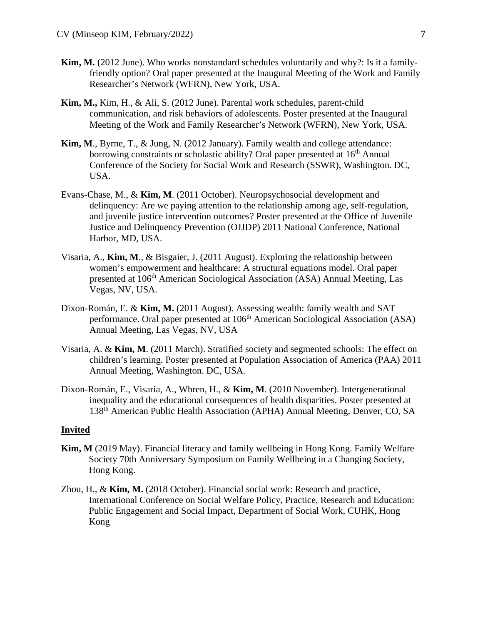- **Kim, M.** (2012 June). Who works nonstandard schedules voluntarily and why?: Is it a familyfriendly option? Oral paper presented at the Inaugural Meeting of the Work and Family Researcher's Network (WFRN), New York, USA.
- **Kim, M.,** Kim, H., & Ali, S. (2012 June). Parental work schedules, parent-child communication, and risk behaviors of adolescents. Poster presented at the Inaugural Meeting of the Work and Family Researcher's Network (WFRN), New York, USA.
- **Kim, M**., Byrne, T., & Jung, N. (2012 January). Family wealth and college attendance: borrowing constraints or scholastic ability? Oral paper presented at 16<sup>th</sup> Annual Conference of the Society for Social Work and Research (SSWR), Washington. DC, USA.
- Evans-Chase, M., & **Kim, M**. (2011 October). Neuropsychosocial development and delinquency: Are we paying attention to the relationship among age, self-regulation, and juvenile justice intervention outcomes? Poster presented at the Office of Juvenile Justice and Delinquency Prevention (OJJDP) 2011 National Conference, National Harbor, MD, USA.
- Visaria, A., **Kim, M**., & Bisgaier, J. (2011 August). Exploring the relationship between women's empowerment and healthcare: A structural equations model. Oral paper presented at 106<sup>th</sup> American Sociological Association (ASA) Annual Meeting, Las Vegas, NV, USA.
- Dixon-Román, E. & **Kim, M.** (2011 August). Assessing wealth: family wealth and SAT performance. Oral paper presented at 106<sup>th</sup> American Sociological Association (ASA) Annual Meeting, Las Vegas, NV, USA
- Visaria, A. & **Kim, M**. (2011 March). Stratified society and segmented schools: The effect on children's learning. Poster presented at Population Association of America (PAA) 2011 Annual Meeting, Washington. DC, USA.
- Dixon-Román, E., Visaria, A., Whren, H., & **Kim, M**. (2010 November). Intergenerational inequality and the educational consequences of health disparities. Poster presented at 138th American Public Health Association (APHA) Annual Meeting, Denver, CO, SA

#### **Invited**

- **Kim, M** (2019 May). Financial literacy and family wellbeing in Hong Kong. Family Welfare Society 70th Anniversary Symposium on Family Wellbeing in a Changing Society, Hong Kong.
- Zhou, H., & **Kim, M.** (2018 October). Financial social work: Research and practice, International Conference on Social Welfare Policy, Practice, Research and Education: Public Engagement and Social Impact, Department of Social Work, CUHK, Hong Kong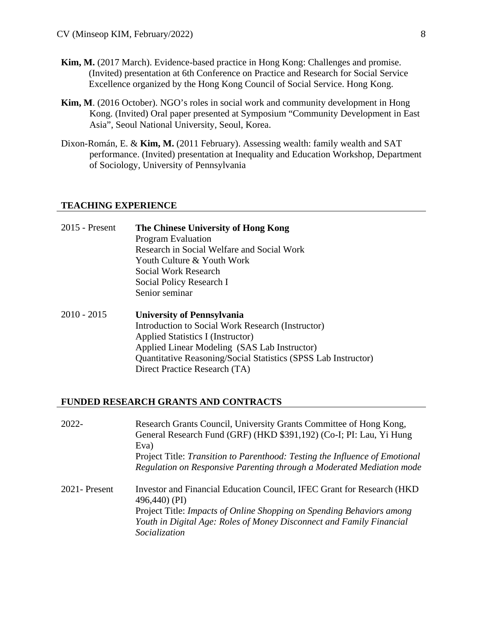- **Kim, M.** (2017 March). Evidence-based practice in Hong Kong: Challenges and promise. (Invited) presentation at 6th Conference on Practice and Research for Social Service Excellence organized by the Hong Kong Council of Social Service. Hong Kong.
- **Kim, M**. (2016 October). NGO's roles in social work and community development in Hong Kong. (Invited) Oral paper presented at Symposium "Community Development in East Asia", Seoul National University, Seoul, Korea.
- Dixon-Román, E. & **Kim, M.** (2011 February). Assessing wealth: family wealth and SAT performance. (Invited) presentation at Inequality and Education Workshop, Department of Sociology, University of Pennsylvania

# **TEACHING EXPERIENCE**

| $2015$ - Present | The Chinese University of Hong Kong<br><b>Program Evaluation</b><br>Research in Social Welfare and Social Work<br>Youth Culture & Youth Work<br>Social Work Research<br>Social Policy Research I<br>Senior seminar                                                             |
|------------------|--------------------------------------------------------------------------------------------------------------------------------------------------------------------------------------------------------------------------------------------------------------------------------|
| $2010 - 2015$    | <b>University of Pennsylvania</b><br>Introduction to Social Work Research (Instructor)<br>Applied Statistics I (Instructor)<br>Applied Linear Modeling (SAS Lab Instructor)<br>Quantitative Reasoning/Social Statistics (SPSS Lab Instructor)<br>Direct Practice Research (TA) |

## **FUNDED RESEARCH GRANTS AND CONTRACTS**

| $2022 -$       | Research Grants Council, University Grants Committee of Hong Kong,<br>General Research Fund (GRF) (HKD \$391,192) (Co-I; PI: Lau, Yi Hung<br>Eva)<br>Project Title: Transition to Parenthood: Testing the Influence of Emotional<br>Regulation on Responsive Parenting through a Moderated Mediation mode |
|----------------|-----------------------------------------------------------------------------------------------------------------------------------------------------------------------------------------------------------------------------------------------------------------------------------------------------------|
| 2021 - Present | Investor and Financial Education Council, IFEC Grant for Research (HKD)<br>$496,440)$ (PI)<br>Project Title: Impacts of Online Shopping on Spending Behaviors among<br>Youth in Digital Age: Roles of Money Disconnect and Family Financial<br>Socialization                                              |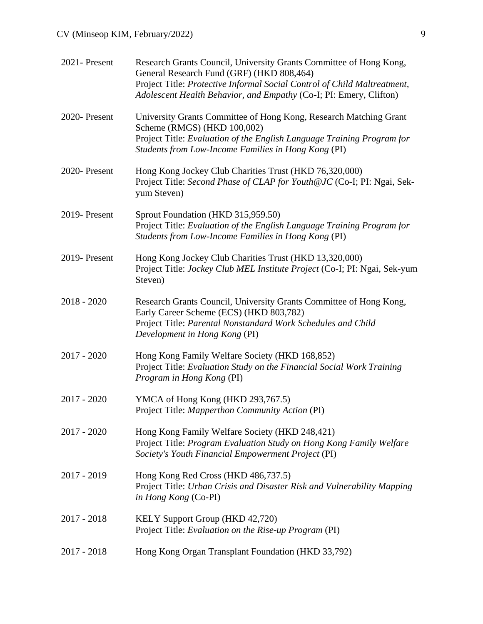# CV (Minseop KIM, February/2022) 9

| 2021-Present  | Research Grants Council, University Grants Committee of Hong Kong,<br>General Research Fund (GRF) (HKD 808,464)<br>Project Title: Protective Informal Social Control of Child Maltreatment,<br>Adolescent Health Behavior, and Empathy (Co-I; PI: Emery, Clifton) |
|---------------|-------------------------------------------------------------------------------------------------------------------------------------------------------------------------------------------------------------------------------------------------------------------|
| 2020-Present  | University Grants Committee of Hong Kong, Research Matching Grant<br>Scheme (RMGS) (HKD 100,002)<br>Project Title: Evaluation of the English Language Training Program for<br>Students from Low-Income Families in Hong Kong (PI)                                 |
| 2020-Present  | Hong Kong Jockey Club Charities Trust (HKD 76,320,000)<br>Project Title: Second Phase of CLAP for Youth@JC (Co-I; PI: Ngai, Sek-<br>yum Steven)                                                                                                                   |
| 2019-Present  | Sprout Foundation (HKD 315,959.50)<br>Project Title: Evaluation of the English Language Training Program for<br>Students from Low-Income Families in Hong Kong (PI)                                                                                               |
| 2019- Present | Hong Kong Jockey Club Charities Trust (HKD 13,320,000)<br>Project Title: Jockey Club MEL Institute Project (Co-I; PI: Ngai, Sek-yum<br>Steven)                                                                                                                    |
| $2018 - 2020$ | Research Grants Council, University Grants Committee of Hong Kong,<br>Early Career Scheme (ECS) (HKD 803,782)<br>Project Title: Parental Nonstandard Work Schedules and Child<br>Development in Hong Kong (PI)                                                    |
| $2017 - 2020$ | Hong Kong Family Welfare Society (HKD 168,852)<br>Project Title: Evaluation Study on the Financial Social Work Training<br>Program in Hong Kong (PI)                                                                                                              |
| $2017 - 2020$ | YMCA of Hong Kong (HKD 293,767.5)<br>Project Title: Mapperthon Community Action (PI)                                                                                                                                                                              |
| $2017 - 2020$ | Hong Kong Family Welfare Society (HKD 248,421)<br>Project Title: Program Evaluation Study on Hong Kong Family Welfare<br>Society's Youth Financial Empowerment Project (PI)                                                                                       |
| $2017 - 2019$ | Hong Kong Red Cross (HKD 486,737.5)<br>Project Title: Urban Crisis and Disaster Risk and Vulnerability Mapping<br>in Hong Kong (Co-PI)                                                                                                                            |
| $2017 - 2018$ | KELY Support Group (HKD 42,720)<br>Project Title: Evaluation on the Rise-up Program (PI)                                                                                                                                                                          |
| $2017 - 2018$ | Hong Kong Organ Transplant Foundation (HKD 33,792)                                                                                                                                                                                                                |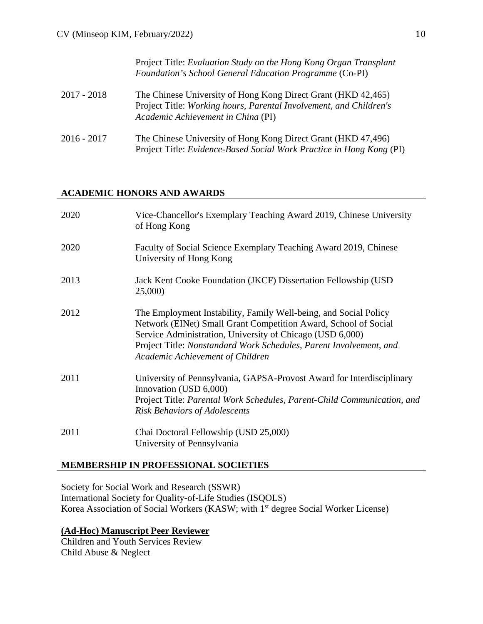|               | Project Title: Evaluation Study on the Hong Kong Organ Transplant<br>Foundation's School General Education Programme (Co-PI)                                              |
|---------------|---------------------------------------------------------------------------------------------------------------------------------------------------------------------------|
| $2017 - 2018$ | The Chinese University of Hong Kong Direct Grant (HKD 42,465)<br>Project Title: Working hours, Parental Involvement, and Children's<br>Academic Achievement in China (PI) |
| $2016 - 2017$ | The Chinese University of Hong Kong Direct Grant (HKD 47,496)<br>Project Title: Evidence-Based Social Work Practice in Hong Kong (PI)                                     |

## **ACADEMIC HONORS AND AWARDS**

| 2020 | Vice-Chancellor's Exemplary Teaching Award 2019, Chinese University<br>of Hong Kong                                                                                                                                                                                                                        |
|------|------------------------------------------------------------------------------------------------------------------------------------------------------------------------------------------------------------------------------------------------------------------------------------------------------------|
| 2020 | Faculty of Social Science Exemplary Teaching Award 2019, Chinese<br>University of Hong Kong                                                                                                                                                                                                                |
| 2013 | Jack Kent Cooke Foundation (JKCF) Dissertation Fellowship (USD<br>25,000)                                                                                                                                                                                                                                  |
| 2012 | The Employment Instability, Family Well-being, and Social Policy<br>Network (EINet) Small Grant Competition Award, School of Social<br>Service Administration, University of Chicago (USD 6,000)<br>Project Title: Nonstandard Work Schedules, Parent Involvement, and<br>Academic Achievement of Children |
| 2011 | University of Pennsylvania, GAPSA-Provost Award for Interdisciplinary<br>Innovation (USD 6,000)<br>Project Title: Parental Work Schedules, Parent-Child Communication, and<br><b>Risk Behaviors of Adolescents</b>                                                                                         |
| 2011 | Chai Doctoral Fellowship (USD 25,000)<br>University of Pennsylvania                                                                                                                                                                                                                                        |

# **MEMBERSHIP IN PROFESSIONAL SOCIETIES**

Society for Social Work and Research (SSWR) International Society for Quality-of-Life Studies (ISQOLS) Korea Association of Social Workers (KASW; with 1<sup>st</sup> degree Social Worker License)

# **(Ad-Hoc) Manuscript Peer Reviewer**

Children and Youth Services Review Child Abuse & Neglect